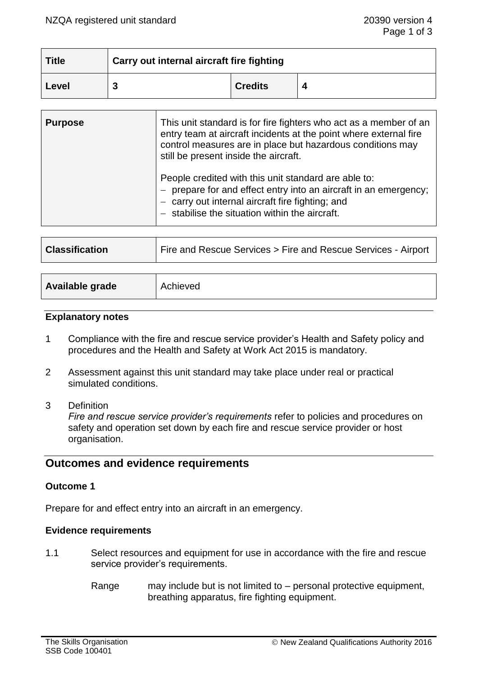| <b>Title</b> | Carry out internal aircraft fire fighting |                |  |
|--------------|-------------------------------------------|----------------|--|
| Level        | J                                         | <b>Credits</b> |  |

| <b>Purpose</b> | This unit standard is for fire fighters who act as a member of an<br>entry team at aircraft incidents at the point where external fire<br>control measures are in place but hazardous conditions may<br>still be present inside the aircraft. |
|----------------|-----------------------------------------------------------------------------------------------------------------------------------------------------------------------------------------------------------------------------------------------|
|                | People credited with this unit standard are able to:<br>prepare for and effect entry into an aircraft in an emergency;<br>carry out internal aircraft fire fighting; and<br>$-$ stabilise the situation within the aircraft.                  |

| <b>Classification</b> | Fire and Rescue Services > Fire and Rescue Services - Airport |
|-----------------------|---------------------------------------------------------------|
|                       |                                                               |
| Available grade       | Achieved                                                      |

#### **Explanatory notes**

- 1 Compliance with the fire and rescue service provider's Health and Safety policy and procedures and the Health and Safety at Work Act 2015 is mandatory.
- 2 Assessment against this unit standard may take place under real or practical simulated conditions.
- 3 Definition

*Fire and rescue service provider's requirements* refer to policies and procedures on safety and operation set down by each fire and rescue service provider or host organisation.

# **Outcomes and evidence requirements**

### **Outcome 1**

Prepare for and effect entry into an aircraft in an emergency.

### **Evidence requirements**

- 1.1 Select resources and equipment for use in accordance with the fire and rescue service provider's requirements.
	- Range may include but is not limited to personal protective equipment, breathing apparatus, fire fighting equipment.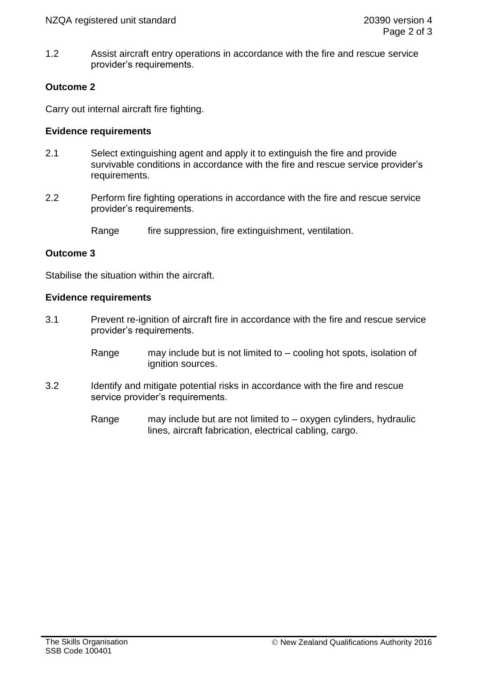1.2 Assist aircraft entry operations in accordance with the fire and rescue service provider's requirements.

## **Outcome 2**

Carry out internal aircraft fire fighting.

### **Evidence requirements**

- 2.1 Select extinguishing agent and apply it to extinguish the fire and provide survivable conditions in accordance with the fire and rescue service provider's requirements.
- 2.2 Perform fire fighting operations in accordance with the fire and rescue service provider's requirements.

Range fire suppression, fire extinguishment, ventilation.

### **Outcome 3**

Stabilise the situation within the aircraft.

### **Evidence requirements**

- 3.1 Prevent re-ignition of aircraft fire in accordance with the fire and rescue service provider's requirements.
	- Range may include but is not limited to cooling hot spots, isolation of ignition sources.
- 3.2 Identify and mitigate potential risks in accordance with the fire and rescue service provider's requirements.
	- Range may include but are not limited to oxygen cylinders, hydraulic lines, aircraft fabrication, electrical cabling, cargo.